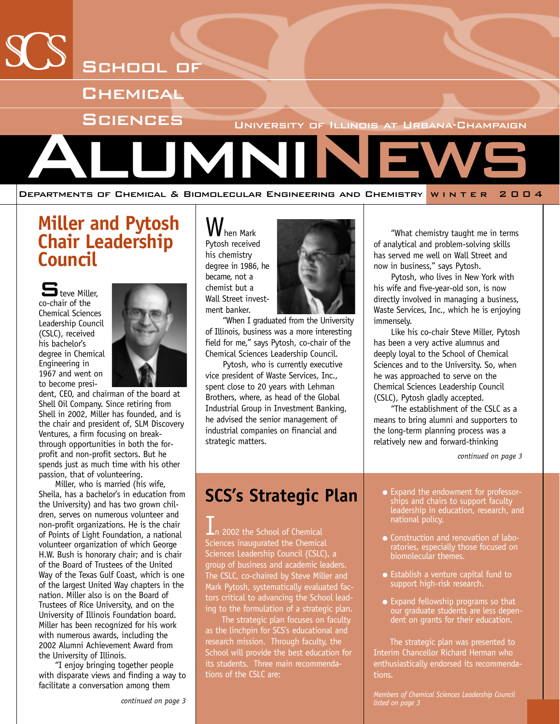

## **Miller and Pytosh Chair Leadership Council**

Theye Miller co-chair of the Chemical Sciences Leadership Council (CSLC), received his bachelor's degree in Chemical Engineering in 1967 and went on to become presi-



dent, CEO, and chairman of the board at Shell Oil Company. Since retiring from Shell in 2002, Miller has founded, and is the chair and president of, SLM Discovery Ventures, a firm focusing on breakthrough opportunities in both the forprofit and non-profit sectors. But he spends just as much time with his other passion, that of volunteering.

Miller, who is married (his wife, Sheila, has a bachelor's in education from the University) and has two grown children, serves on numerous volunteer and non-profit organizations. He is the chair of Points of Light Foundation, a national volunteer organization of which George H.W. Bush is honorary chair; and is chair of the Board of Trustees of the United Way of the Texas Gulf Coast, which is one of the largest United Way chapters in the nation. Miller also is on the Board of Trustees of Rice University, and on the University of Illinois Foundation board. Miller has been recognized for his work with numerous awards, including the 2002 Alumni Achievement Award from the University of Illinois.

"I enjoy bringing together people with disparate views and finding a way to facilitate a conversation among them

**V** hen Mark Pytosh received his chemistry degree in 1986, he became, not a chemist but a Wall Street investment banker.



"When I graduated from the University of Illinois, business was a more interesting field for me," says Pytosh, co-chair of the Chemical Sciences Leadership Council.

Pytosh, who is currently executive vice president of Waste Services, Inc., spent close to 20 years with Lehman Brothers, where, as head of the Global Industrial Group in Investment Banking, he advised the senior management of industrial companies on financial and strategic matters.

"What chemistry taught me in terms of analytical and problem-solving skills has served me well on Wall Street and now in business," says Pytosh.

Pytosh, who lives in New York with his wife and five-year-old son, is now directly involved in managing a business, Waste Services, Inc., which he is enjoying immensely.

Like his co-chair Steve Miller, Pytosh has been a very active alumnus and deeply loyal to the School of Chemical Sciences and to the University. So, when he was approached to serve on the Chemical Sciences Leadership Council (CSLC), Pytosh gladly accepted.

"The establishment of the CSLC as a means to bring alumni and supporters to the long-term planning process was a relatively new and forward-thinking

*continued on page 3*

## **SCS's Strategic Plan**

2002 the School of Chemical Sciences inaugurated the Chemical Sciences Leadership Council (CSLC), a group of business and academic leaders. The CSLC, co-chaired by Steve Miller and Mark Pytosh, systematically evaluated factors critical to advancing the School leading to the formulation of a strategic plan.

The strategic plan focuses on faculty as the linchpin for SCS's educational and research mission. Through faculty, the School will provide the best education for its students. Three main recommendations of the CSLC are:

- Expand the endowment for professorships and chairs to support faculty leadership in education, research, and national policy.
- Construction and renovation of laboratories, especially those focused on biomolecular themes.
- Establish a venture capital fund to support high-risk research.
- Expand fellowship programs so that our graduate students are less dependent on grants for their education.

The strategic plan was presented to Interim Chancellor Richard Herman who enthusiastically endorsed its recommendations.

*Members of Chemical Sciences Leadership Council listed on page 3*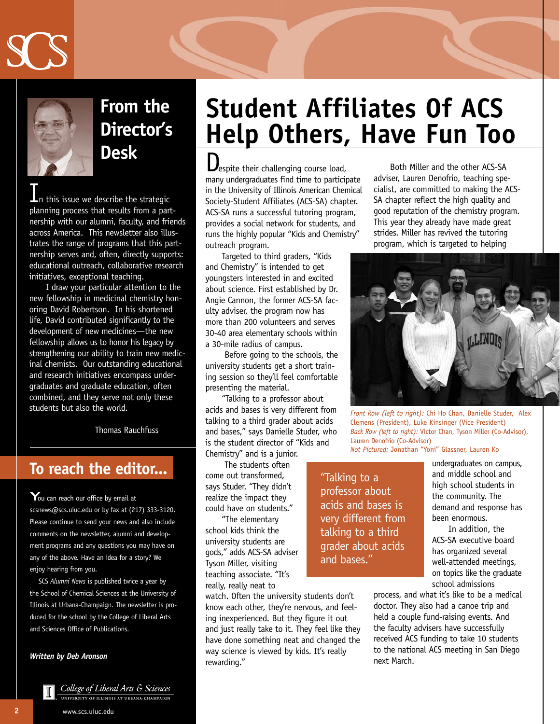



## **From the Director's Desk**

n this issue we describe the strategic planning process that results from a partnership with our alumni, faculty, and friends across America. This newsletter also illustrates the range of programs that this partnership serves and, often, directly supports: educational outreach, collaborative research initiatives, exceptional teaching.

I draw your particular attention to the new fellowship in medicinal chemistry honoring David Robertson. In his shortened life, David contributed significantly to the development of new medicines—the new fellowship allows us to honor his legacy by strengthening our ability to train new medicinal chemists. Our outstanding educational and research initiatives encompass undergraduates and graduate education, often combined, and they serve not only these students but also the world.

Thomas Rauchfuss

### **To reach the editor...**

 $\mathbf{Y}_{\text{ou can reach our office by email at}}$ scsnews@scs.uiuc.edu or by fax at (217) 333-3120. Please continue to send your news and also include comments on the newsletter, alumni and development programs and any questions you may have on any of the above. Have an idea for a story? We enjoy hearing from you.

SCS *Alumni News* is published twice a year by the School of Chemical Sciences at the University of Illinois at Urbana-Champaign. The newsletter is produced for the school by the College of Liberal Arts and Sciences Office of Publications.

#### *Written by Deb Aronson*

# **Student Affiliates Of ACS Help Others, Have Fun Too**

Despite their challenging course load, many undergraduates find time to participate in the University of Illinois American Chemical Society-Student Affiliates (ACS-SA) chapter. ACS-SA runs a successful tutoring program, provides a social network for students, and runs the highly popular "Kids and Chemistry" outreach program.

Targeted to third graders, "Kids and Chemistry" is intended to get youngsters interested in and excited about science. First established by Dr. Angie Cannon, the former ACS-SA faculty adviser, the program now has more than 200 volunteers and serves 30-40 area elementary schools within a 30-mile radius of campus.

Before going to the schools, the university students get a short training session so they'll feel comfortable presenting the material.

"Talking to a professor about acids and bases is very different from talking to a third grader about acids and bases," says Danielle Studer, who is the student director of "Kids and Chemistry" and is a junior.

The students often

come out transformed, says Studer. "They didn't realize the impact they could have on students."

"The elementary school kids think the university students are gods," adds ACS-SA adviser Tyson Miller, visiting teaching associate. "It's really, really neat to

watch. Often the university students don't know each other, they're nervous, and feeling inexperienced. But they figure it out and just really take to it. They feel like they have done something neat and changed the way science is viewed by kids. It's really rewarding."

Both Miller and the other ACS-SA adviser, Lauren Denofrio, teaching specialist, are committed to making the ACS-SA chapter reflect the high quality and good reputation of the chemistry program. This year they already have made great strides. Miller has revived the tutoring program, which is targeted to helping



*Front Row (left to right):* Chi Ho Chan, Danielle Studer, Alex Clemens (President), Luke Kinsinger (Vice President) *Back Row (left to right):* Victor Chan, Tyson Miller (Co-Advisor), Lauren Denofrio (Co-Advisor) *Not Pictured:* Jonathan "Yoni" Glassner, Lauren Ko

"Talking to a professor about acids and bases is very different from talking to a third grader about acids and bases."

undergraduates on campus, and middle school and high school students in the community. The demand and response has been enormous.

In addition, the ACS-SA executive board has organized several well-attended meetings, on topics like the graduate school admissions

process, and what it's like to be a medical doctor. They also had a canoe trip and held a couple fund-raising events. And the faculty advisers have successfully received ACS funding to take 10 students to the national ACS meeting in San Diego next March.

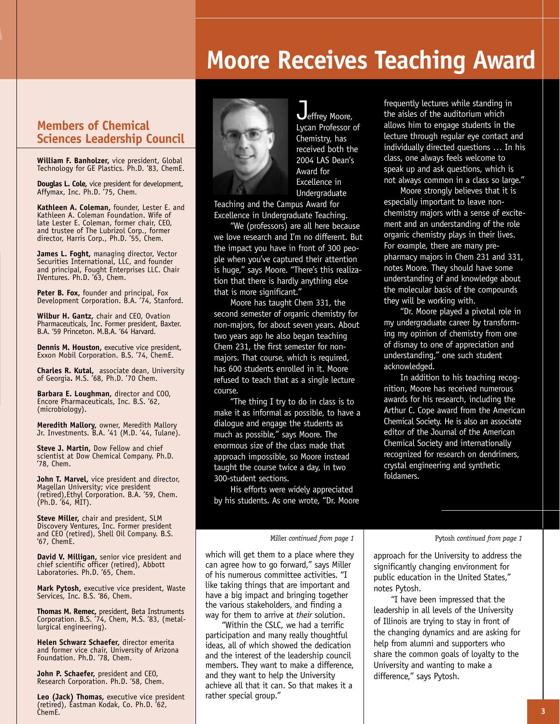## **Moore Receives Teaching Award**

#### **Members of Chemical Sciences Leadership Council**

**William F. Banholzer,** vice president, Global Technology for GE Plastics. Ph.D. '83, ChemE.

**Douglas L. Cole,** vice president for development, Affymax, Inc. Ph.D. '75, Chem.

**Kathleen A. Coleman,** founder, Lester E. and Kathleen A. Coleman Foundation. Wife of late Lester E. Coleman, former chair, CEO, and trustee of The Lubrizol Corp., former director, Harris Corp., Ph.D. '55, Chem.

**James L. Foght,** managing director, Vector Securities International, LLC, and founder and principal, Fought Enterprises LLC. Chair IVentures. Ph.D. '63, Chem.

**Peter B. Fox,** founder and principal, Fox Development Corporation. B.A. '74, Stanford.

**Wilbur H. Gantz,** chair and CEO, Ovation Pharmaceuticals, Inc. Former president, Baxter. B.A. '59 Princeton. M.B.A. '64 Harvard.

**Dennis M. Houston,** executive vice president, Exxon Mobil Corporation. B.S. '74, ChemE.

**Charles R. Kutal,** associate dean, University of Georgia**.** M.S. '68, Ph.D. '70 Chem.

**Barbara E. Loughman,** director and COO, Encore Pharmaceuticals, Inc. B.S. '62, (microbiology).

**Meredith Mallory,** owner, Meredith Mallory Jr. Investments. B.A. '41 (M.D. '44, Tulane).

**Steve J. Martin,** Dow Fellow and chief scientist at Dow Chemical Company. Ph.D. '78, Chem.

**John T. Marvel,** vice president and director, Magellan University; vice president (retired),Ethyl Corporation. B.A. '59, Chem. (Ph.D. '64, MIT).

**Steve Miller,** chair and president, SLM Discovery Ventures, Inc. Former president and CEO (retired), Shell Oil Company. B.S. '67, ChemE.

**David V. Milligan,** senior vice president and chief scientific officer (retired), Abbott Laboratories. Ph.D. '65, Chem.

**Mark Pytosh,** executive vice president, Waste Services, Inc. B.S. '86, Chem.

**Thomas M. Remec,** president, Beta Instruments Corporation. B.S. '74, Chem, M.S. '83, (metallurgical engineering).

**Helen Schwarz Schaefer,** director emerita and former vice chair, University of Arizona Foundation. Ph.D. '78, Chem.

**John P. Schaefer,** president and CEO, Research Corporation. Ph.D. '58, Chem.

**Leo (Jack) Thomas,** executive vice president (retired), Eastman Kodak, Co. Ph.D. '62, ChemE.



**J**effrey Moore, Lycan Professor of Chemistry, has received both the 2004 LAS Dean's Award for Excellence in **Undergraduate** 

Teaching and the Campus Award for Excellence in Undergraduate Teaching.

"We (professors) are all here because we love research and I'm no different. But the impact you have in front of 300 people when you've captured their attention is huge," says Moore. "There's this realization that there is hardly anything else that is more significant."

Moore has taught Chem 331, the second semester of organic chemistry for non-majors, for about seven years. About two years ago he also began teaching Chem 231, the first semester for nonmajors. That course, which is required, has 600 students enrolled in it. Moore refused to teach that as a single lecture course.

"The thing I try to do in class is to make it as informal as possible, to have a dialogue and engage the students as much as possible," says Moore. The enormous size of the class made that approach impossible, so Moore instead taught the course twice a day, in two 300-student sections.

His efforts were widely appreciated by his students. As one wrote, "Dr. Moore

frequently lectures while standing in the aisles of the auditorium which allows him to engage students in the lecture through regular eye contact and individually directed questions … In his class, one always feels welcome to speak up and ask questions, which is not always common in a class so large."

Moore strongly believes that it is especially important to leave nonchemistry majors with a sense of excitement and an understanding of the role organic chemistry plays in their lives. For example, there are many prepharmacy majors in Chem 231 and 331, notes Moore. They should have some understanding of and knowledge about the molecular basis of the compounds they will be working with.

"Dr. Moore played a pivotal role in my undergraduate career by transforming my opinion of chemistry from one of dismay to one of appreciation and understanding," one such student acknowledged.

In addition to his teaching recognition, Moore has received numerous awards for his research, including the Arthur C. Cope award from the American Chemical Society. He is also an associate editor of the Journal of the American Chemical Society and internationally recognized for research on dendrimers, crystal engineering and synthetic foldamers.

#### Miller *continued from page 1* Pytosh *continued from page 1*

which will get them to a place where they can agree how to go forward," says Miller of his numerous committee activities. "I like taking things that are important and have a big impact and bringing together the various stakeholders, and finding a way for them to arrive at *their* solution.

"Within the CSLC, we had a terrific participation and many really thoughtful ideas, all of which showed the dedication and the interest of the leadership council members. They want to make a difference, and they want to help the University achieve all that it can. So that makes it a rather special group."

approach for the University to address the significantly changing environment for public education in the United States," notes Pytosh.

"I have been impressed that the leadership in all levels of the University of Illinois are trying to stay in front of the changing dynamics and are asking for help from alumni and supporters who share the common goals of loyalty to the University and wanting to make a difference," says Pytosh.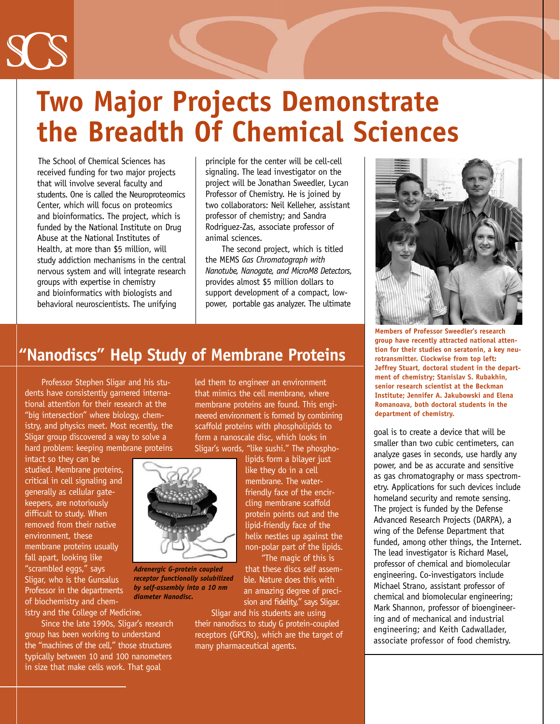

# **Two Major Projects Demonstrate the Breadth Of Chemical Sciences**

The School of Chemical Sciences has received funding for two major projects that will involve several faculty and students. One is called the Neuroproteomics Center, which will focus on proteomics and bioinformatics. The project, which is funded by the National Institute on Drug Abuse at the National Institutes of Health, at more than \$5 million, will study addiction mechanisms in the central nervous system and will integrate research groups with expertise in chemistry and bioinformatics with biologists and behavioral neuroscientists. The unifying

principle for the center will be cell-cell signaling. The lead investigator on the project will be Jonathan Sweedler, Lycan Professor of Chemistry. He is joined by two collaborators: Neil Kelleher, assistant professor of chemistry; and Sandra Rodriguez-Zas, associate professor of animal sciences.

The second project, which is titled the MEMS *Gas Chromatograph with Nanotube, Nanogate, and MicroM8 Detectors,* provides almost \$5 million dollars to support development of a compact, lowpower, portable gas analyzer. The ultimate

### **"Nanodiscs" Help Study of Membrane Proteins**

Professor Stephen Sligar and his students have consistently garnered international attention for their research at the "big intersection" where biology, chemistry, and physics meet. Most recently, the Sligar group discovered a way to solve a hard problem: keeping membrane proteins

intact so they can be studied. Membrane proteins, critical in cell signaling and generally as cellular gatekeepers, are notoriously difficult to study. When removed from their native environment, these membrane proteins usually fall apart, looking like "scrambled eggs," says Sligar, who is the Gunsalus Professor in the departments of biochemistry and chemistry and the College of Medicine.

Since the late 1990s, Sligar's research group has been working to understand the "machines of the cell," those structures typically between 10 and 100 nanometers in size that make cells work. That goal

led them to engineer an environment that mimics the cell membrane, where membrane proteins are found. This engineered environment is formed by combining scaffold proteins with phospholipids to form a nanoscale disc, which looks in Sligar's words, "like sushi." The phospho-

lipids form a bilayer just like they do in a cell membrane. The waterfriendly face of the encircling membrane scaffold protein points out and the lipid-friendly face of the helix nestles up against the non-polar part of the lipids.

"The magic of this is that these discs self assemble. Nature does this with an amazing degree of precision and fidelity," says Sligar.

Sligar and his students are using their nanodiscs to study G protein-coupled receptors (GPCRs), which are the target of many pharmaceutical agents.



**Members of Professor Sweedler's research group have recently attracted national attention for their studies on seratonin, a key neurotransmitter. Clockwise from top left: Jeffrey Stuart, doctoral student in the department of chemistry; Stanislav S. Rubakhin, senior research scientist at the Beckman Institute; Jennifer A. Jakubowski and Elena Romanoava, both doctoral students in the department of chemistry.** 

goal is to create a device that will be smaller than two cubic centimeters, can analyze gases in seconds, use hardly any power, and be as accurate and sensitive as gas chromatography or mass spectrometry. Applications for such devices include homeland security and remote sensing. The project is funded by the Defense Advanced Research Projects (DARPA), a wing of the Defense Department that funded, among other things, the Internet. The lead investigator is Richard Masel, professor of chemical and biomolecular engineering. Co-investigators include Michael Strano, assistant professor of chemical and biomolecular engineering; Mark Shannon, professor of bioengineering and of mechanical and industrial engineering; and Keith Cadwallader, associate professor of food chemistry.



*Adrenergic G-protein coupled receptor functionally solubilized by self-assembly into a 10 nm diameter Nanodisc***.**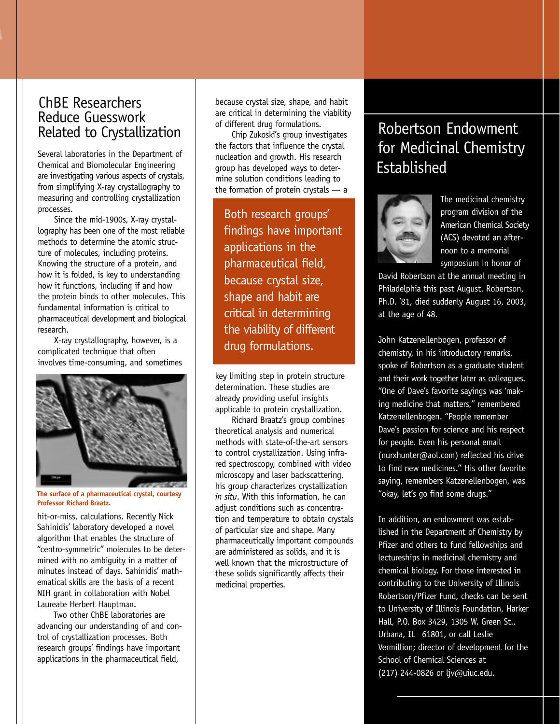#### ChBE Researchers Reduce Guesswork Related to Crystallization

Several laboratories in the Department of Chemical and Biomolecular Engineering are investigating various aspects of crystals, from simplifying X-ray crystallography to measuring and controlling crystallization processes.

Since the mid-1900s, X-ray crystallography has been one of the most reliable methods to determine the atomic structure of molecules, including proteins. Knowing the structure of a protein, and how it is folded, is key to understanding how it functions, including if and how the protein binds to other molecules. This fundamental information is critical to pharmaceutical development and biological research.

X-ray crystallography, however, is a complicated technique that often involves time-consuming, and sometimes



**The surface of a pharmaceutical crystal, courtesy Professor Richard Braatz.**

hit-or-miss, calculations. Recently Nick Sahinidis' laboratory developed a novel algorithm that enables the structure of "centro-symmetric" molecules to be determined with no ambiguity in a matter of minutes instead of days. Sahinidis' mathematical skills are the basis of a recent NIH grant in collaboration with Nobel Laureate Herbert Hauptman.

Two other ChBE laboratories are advancing our understanding of and control of crystallization processes. Both research groups' findings have important applications in the pharmaceutical field,

because crystal size, shape, and habit are critical in determining the viability of different drug formulations.

Chip Zukoski's group investigates the factors that influence the crystal nucleation and growth. His research group has developed ways to determine solution conditions leading to the formation of protein crystals — a

Both research groups' findings have important applications in the pharmaceutical field, because crystal size, shape and habit are critical in determining the viability of different drug formulations.

key limiting step in protein structure determination. These studies are already providing useful insights applicable to protein crystallization.

Richard Braatz's group combines theoretical analysis and numerical methods with state-of-the-art sensors to control crystallization. Using infrared spectroscopy, combined with video microscopy and laser backscattering, his group characterizes crystallization *in situ*. With this information, he can adjust conditions such as concentration and temperature to obtain crystals of particular size and shape. Many pharmaceutically important compounds are administered as solids, and it is well known that the microstructure of these solids significantly affects their medicinal properties.

## Robertson Endowment for Medicinal Chemistry Established



The medicinal chemistry program division of the American Chemical Society (ACS) devoted an afternoon to a memorial symposium in honor of

David Robertson at the annual meeting in Philadelphia this past August. Robertson, Ph.D. '81, died suddenly August 16, 2003, at the age of 48.

John Katzenellenbogen, professor of chemistry, in his introductory remarks, spoke of Robertson as a graduate student and their work together later as colleagues. "One of Dave's favorite sayings was 'making medicine that matters," remembered Katzenellenbogen. "People remember Dave's passion for science and his respect for people. Even his personal email (nurxhunter@aol.com) reflected his drive to find new medicines." His other favorite saying, remembers Katzenellenbogen, was "okay, let's go find some drugs."

In addition, an endowment was established in the Department of Chemistry by Pfizer and others to fund fellowships and lectureships in medicinal chemistry and chemical biology. For those interested in contributing to the University of Illinois Robertson/Pfizer Fund, checks can be sent to University of Illinois Foundation, Harker Hall, P.O. Box 3429, 1305 W. Green St., Urbana, IL 61801, or call Leslie Vermillion; director of development for the School of Chemical Sciences at (217) 244-0826 or ljv@uiuc.edu.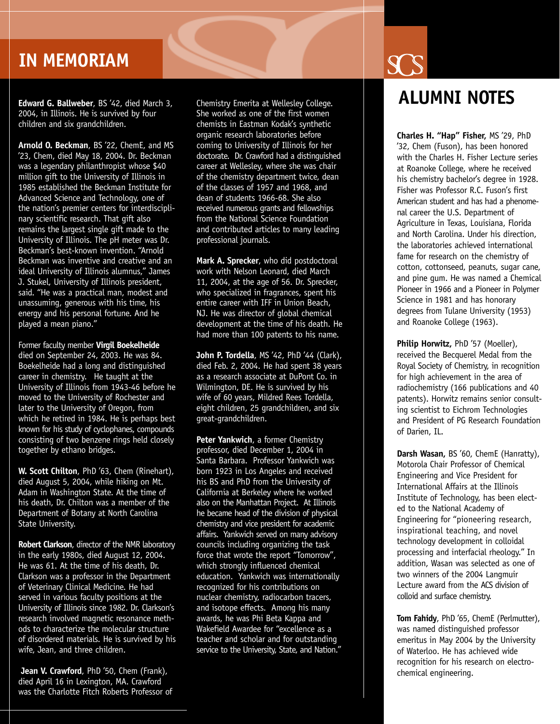## **IN MEMORIAM**

**Edward G. Ballweber**, BS '42, died March 3, 2004, in Illinois. He is survived by four children and six grandchildren.

**Arnold O. Beckman**, BS '22, ChemE, and MS '23, Chem, died May 18, 2004. Dr. Beckman was a legendary philanthropist whose \$40 million gift to the University of Illinois in 1985 established the Beckman Institute for Advanced Science and Technology, one of the nation's premier centers for interdisciplinary scientific research. That gift also remains the largest single gift made to the University of Illinois. The pH meter was Dr. Beckman's best-known invention. "Arnold Beckman was inventive and creative and an ideal University of Illinois alumnus," James J. Stukel, University of Illinois president, said. "He was a practical man, modest and unassuming, generous with his time, his energy and his personal fortune. And he played a mean piano."

Former faculty member **Virgil Boekelheide** died on September 24, 2003. He was 84. Boekelheide had a long and distinguished career in chemistry. He taught at the University of Illinois from 1943-46 before he moved to the University of Rochester and later to the University of Oregon, from which he retired in 1984. He is perhaps best known for his study of cyclophanes, compounds consisting of two benzene rings held closely together by ethano bridges.

**W. Scott Chilton**, PhD '63, Chem (Rinehart), died August 5, 2004, while hiking on Mt. Adam in Washington State. At the time of his death, Dr. Chilton was a member of the Department of Botany at North Carolina State University.

**Robert Clarkson**, director of the NMR laboratory in the early 1980s, died August 12, 2004. He was 61. At the time of his death, Dr. Clarkson was a professor in the Department of Veterinary Clinical Medicine. He had served in various faculty positions at the University of Illinois since 1982. Dr. Clarkson's research involved magnetic resonance methods to characterize the molecular structure of disordered materials. He is survived by his wife, Jean, and three children.

**Jean V. Crawford**, PhD '50, Chem (Frank), died April 16 in Lexington, MA. Crawford was the Charlotte Fitch Roberts Professor of

Chemistry Emerita at Wellesley College. She worked as one of the first women chemists in Eastman Kodak's synthetic organic research laboratories before coming to University of Illinois for her doctorate. Dr. Crawford had a distinguished career at Wellesley, where she was chair of the chemistry department twice, dean of the classes of 1957 and 1968, and dean of students 1966-68. She also received numerous grants and fellowships from the National Science Foundation and contributed articles to many leading professional journals.

**Mark A. Sprecker**, who did postdoctoral work with Nelson Leonard, died March 11, 2004, at the age of 56. Dr. Sprecker, who specialized in fragrances, spent his entire career with IFF in Union Beach, NJ. He was director of global chemical development at the time of his death. He had more than 100 patents to his name.

**John P. Tordella**, MS '42, PhD '44 (Clark), died Feb. 2, 2004. He had spent 38 years as a research associate at DuPont Co. in Wilmington, DE. He is survived by his wife of 60 years, Mildred Rees Tordella, eight children, 25 grandchildren, and six great-grandchildren.

**Peter Yankwich**, a former Chemistry professor, died December 1, 2004 in Santa Barbara. Professor Yankwich was born 1923 in Los Angeles and received his BS and PhD from the University of California at Berkeley where he worked also on the Manhattan Project. At Illinois he became head of the division of physical chemistry and vice president for academic affairs. Yankwich served on many advisory councils including organizing the task force that wrote the report "Tomorrow", which strongly influenced chemical education. Yankwich was internationally recognized for his contributions on nuclear chemistry, radiocarbon tracers, and isotope effects. Among his many awards, he was Phi Beta Kappa and Wakefield Awardee for "excellence as a teacher and scholar and for outstanding service to the University, State, and Nation."

## **ALUMNI NOTES**

**Charles H. "Hap" Fisher,** MS '29, PhD '32, Chem (Fuson), has been honored with the Charles H. Fisher Lecture series at Roanoke College, where he received his chemistry bachelor's degree in 1928. Fisher was Professor R.C. Fuson's first American student and has had a phenomenal career the U.S. Department of Agriculture in Texas, Louisiana, Florida and North Carolina. Under his direction, the laboratories achieved international fame for research on the chemistry of cotton, cottonseed, peanuts, sugar cane, and pine gum. He was named a Chemical Pioneer in 1966 and a Pioneer in Polymer Science in 1981 and has honorary degrees from Tulane University (1953) and Roanoke College (1963).

**Philip Horwitz,** PhD '57 (Moeller), received the Becquerel Medal from the Royal Society of Chemistry, in recognition for high achievement in the area of radiochemistry (166 publications and 40 patents). Horwitz remains senior consulting scientist to Eichrom Technologies and President of PG Research Foundation of Darien, IL.

**Darsh Wasan,** BS '60, ChemE (Hanratty), Motorola Chair Professor of Chemical Engineering and Vice President for International Affairs at the Illinois Institute of Technology, has been elected to the National Academy of Engineering for "pioneering research, inspirational teaching, and novel technology development in colloidal processing and interfacial rheology." In addition, Wasan was selected as one of two winners of the 2004 Langmuir Lecture award from the ACS division of colloid and surface chemistry.

**Tom Fahidy**, PhD '65, ChemE (Perlmutter), was named distinguished professor emeritus in May 2004 by the University of Waterloo. He has achieved wide recognition for his research on electrochemical engineering.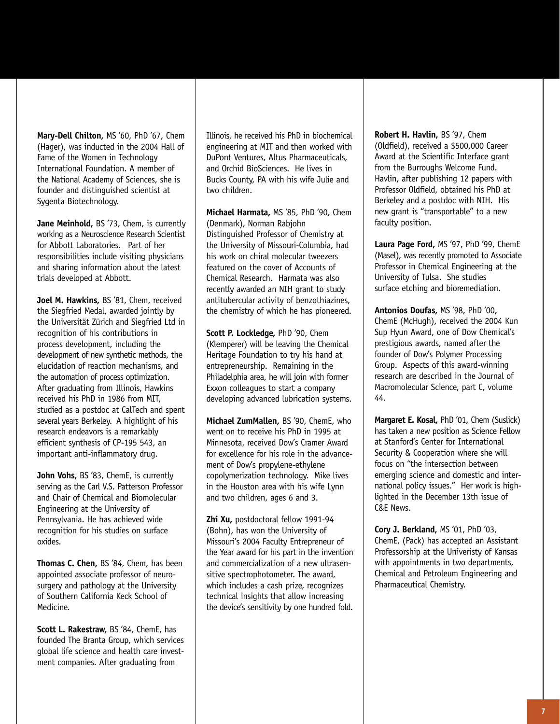**Mary-Dell Chilton,** MS '60, PhD '67, Chem (Hager), was inducted in the 2004 Hall of Fame of the Women in Technology International Foundation. A member of the National Academy of Sciences, she is founder and distinguished scientist at Sygenta Biotechnology.

Jane Meinhold, BS '73, Chem, is currently working as a Neuroscience Research Scientist for Abbott Laboratories. Part of her responsibilities include visiting physicians and sharing information about the latest trials developed at Abbott.

**Joel M. Hawkins,** BS '81, Chem, received the Siegfried Medal, awarded jointly by the Universität Zürich and Siegfried Ltd in recognition of his contributions in process development, including the development of new synthetic methods, the elucidation of reaction mechanisms, and the automation of process optimization. After graduating from Illinois, Hawkins received his PhD in 1986 from MIT, studied as a postdoc at CalTech and spent several years Berkeley. A highlight of his research endeavors is a remarkably efficient synthesis of CP-195 543, an important anti-inflammatory drug.

**John Vohs,** BS '83, ChemE, is currently serving as the Carl V.S. Patterson Professor and Chair of Chemical and Biomolecular Engineering at the University of Pennsylvania. He has achieved wide recognition for his studies on surface oxides.

**Thomas C. Chen,** BS '84, Chem, has been appointed associate professor of neurosurgery and pathology at the University of Southern California Keck School of Medicine.

**Scott L. Rakestraw,** BS '84, ChemE, has founded The Branta Group, which services global life science and health care investment companies. After graduating from

Illinois, he received his PhD in biochemical engineering at MIT and then worked with DuPont Ventures, Altus Pharmaceuticals, and Orchid BioSciences. He lives in Bucks County, PA with his wife Julie and two children.

**Michael Harmata,** MS '85, PhD '90, Chem (Denmark), Norman Rabjohn Distinguished Professor of Chemistry at the University of Missouri-Columbia, had his work on chiral molecular tweezers featured on the cover of Accounts of Chemical Research. Harmata was also recently awarded an NIH grant to study antitubercular activity of benzothiazines, the chemistry of which he has pioneered.

**Scott P. Lockledge,** PhD '90, Chem (Klemperer) will be leaving the Chemical Heritage Foundation to try his hand at entrepreneurship. Remaining in the Philadelphia area, he will join with former Exxon colleagues to start a company developing advanced lubrication systems.

**Michael ZumMallen,** BS '90, ChemE, who went on to receive his PhD in 1995 at Minnesota, received Dow's Cramer Award for excellence for his role in the advancement of Dow's propylene-ethylene copolymerization technology. Mike lives in the Houston area with his wife Lynn and two children, ages 6 and 3.

**Zhi Xu,** postdoctoral fellow 1991-94 (Bohn), has won the University of Missouri's 2004 Faculty Entrepreneur of the Year award for his part in the invention and commercialization of a new ultrasensitive spectrophotometer. The award, which includes a cash prize, recognizes technical insights that allow increasing the device's sensitivity by one hundred fold.

**Robert H. Havlin,** BS '97, Chem (Oldfield), received a \$500,000 Career Award at the Scientific Interface grant from the Burroughs Welcome Fund. Havlin, after publishing 12 papers with Professor Oldfield, obtained his PhD at Berkeley and a postdoc with NIH. His new grant is "transportable" to a new faculty position.

**Laura Page Ford,** MS '97, PhD '99, ChemE (Masel), was recently promoted to Associate Professor in Chemical Engineering at the University of Tulsa. She studies surface etching and bioremediation.

**Antonios Doufas,** MS '98, PhD '00, ChemE (McHugh), received the 2004 Kun Sup Hyun Award, one of Dow Chemical's prestigious awards, named after the founder of Dow's Polymer Processing Group. Aspects of this award-winning research are described in the Journal of Macromolecular Science, part C, volume 44.

**Margaret E. Kosal,** PhD '01, Chem (Suslick) has taken a new position as Science Fellow at Stanford's Center for International Security & Cooperation where she will focus on "the intersection between emerging science and domestic and international policy issues." Her work is highlighted in the December 13th issue of C&E News.

**Cory J. Berkland,** MS '01, PhD '03, ChemE, (Pack) has accepted an Assistant Professorship at the Univeristy of Kansas with appointments in two departments, Chemical and Petroleum Engineering and Pharmaceutical Chemistry.